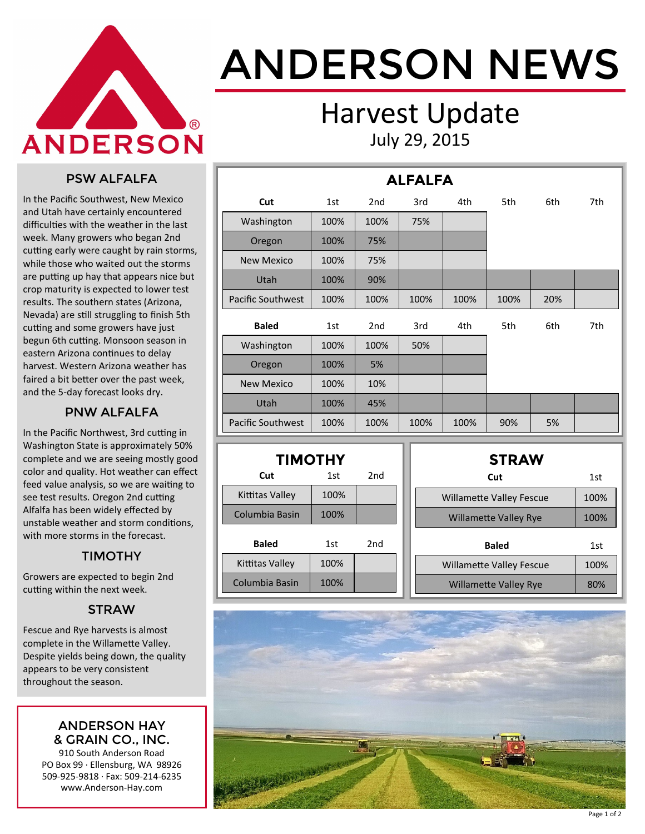

# ANDERSON NEWS

### Harvest Update July 29, 2015

#### PSW ALFALFA

In the Pacific Southwest, New Mexico and Utah have certainly encountered difficulties with the weather in the last week. Many growers who began 2nd cutting early were caught by rain storms, while those who waited out the storms are putting up hay that appears nice but crop maturity is expected to lower test results. The southern states (Arizona, Nevada) are still struggling to finish 5th cutting and some growers have just begun 6th cutting. Monsoon season in eastern Arizona continues to delay harvest. Western Arizona weather has faired a bit better over the past week, and the 5-day forecast looks dry.

#### PNW ALFALFA

In the Pacific Northwest, 3rd cutting in Washington State is approximately 50% complete and we are seeing mostly good color and quality. Hot weather can effect feed value analysis, so we are waiting to see test results. Oregon 2nd cutting Alfalfa has been widely effected by unstable weather and storm conditions, with more storms in the forecast.

#### TIMOTHY

Growers are expected to begin 2nd cutting within the next week.

#### **STRAW**

Fescue and Rye harvests is almost complete in the Willamette Valley. Despite yields being down, the quality appears to be very consistent throughout the season.

#### ANDERSON HAY & GRAIN CO., INC.

910 South Anderson Road PO Box 99 · Ellensburg, WA 98926 509-925-9818 · Fax: 509-214-6235 www.Anderson-Hay.com

|                          | <b>ALFALFA</b> |                 |      |      |      |     |     |  |  |  |  |
|--------------------------|----------------|-----------------|------|------|------|-----|-----|--|--|--|--|
| Cut                      | 1st            | 2 <sub>nd</sub> | 3rd  | 4th  | 5th  | 6th | 7th |  |  |  |  |
| Washington               | 100%           | 100%            | 75%  |      |      |     |     |  |  |  |  |
| Oregon                   | 100%           | 75%             |      |      |      |     |     |  |  |  |  |
| <b>New Mexico</b>        | 100%           | 75%             |      |      |      |     |     |  |  |  |  |
| Utah                     | 100%           | 90%             |      |      |      |     |     |  |  |  |  |
| <b>Pacific Southwest</b> | 100%           | 100%            | 100% | 100% | 100% | 20% |     |  |  |  |  |
| <b>Baled</b>             | 1st            | 2 <sub>nd</sub> | 3rd  | 4th  | 5th  | 6th | 7th |  |  |  |  |
| Washington               | 100%           | 100%            | 50%  |      |      |     |     |  |  |  |  |
| Oregon                   | 100%           | 5%              |      |      |      |     |     |  |  |  |  |
| <b>New Mexico</b>        | 100%           | 10%             |      |      |      |     |     |  |  |  |  |
| Utah                     | 100%           | 45%             |      |      |      |     |     |  |  |  |  |
| <b>Pacific Southwest</b> | 100%           | 100%            | 100% | 100% | 90%  | 5%  |     |  |  |  |  |

| <b>TIMOTHY</b>    |      |                 |  |  |  |  |  |  |
|-------------------|------|-----------------|--|--|--|--|--|--|
| 2nd<br>Cut<br>1st |      |                 |  |  |  |  |  |  |
| Kittitas Valley   | 100% |                 |  |  |  |  |  |  |
| Columbia Basin    | 100% |                 |  |  |  |  |  |  |
| <b>Baled</b>      | 1st  | 2 <sub>nd</sub> |  |  |  |  |  |  |
| Kittitas Valley   | 100% |                 |  |  |  |  |  |  |
| Columbia Basin    | 100% |                 |  |  |  |  |  |  |

| <b>STRAW</b>                    |      |
|---------------------------------|------|
| Cut                             | 1st  |
| <b>Willamette Valley Fescue</b> | 100% |
| <b>Willamette Valley Rye</b>    | 100% |
| <b>Baled</b>                    | 1st  |
| <b>Willamette Valley Fescue</b> | 100% |
| <b>Willamette Valley Rye</b>    | 80%  |